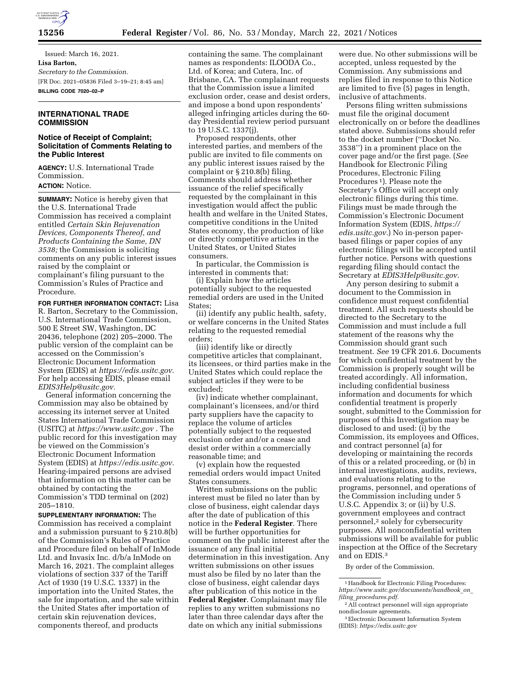

Issued: March 16, 2021. **Lisa Barton,**  *Secretary to the Commission.*  [FR Doc. 2021–05836 Filed 3–19–21; 8:45 am] **BILLING CODE 7020–02–P** 

# **INTERNATIONAL TRADE COMMISSION**

# **Notice of Receipt of Complaint; Solicitation of Comments Relating to the Public Interest**

**AGENCY:** U.S. International Trade Commission. **ACTION:** Notice.

**SUMMARY:** Notice is hereby given that the U.S. International Trade Commission has received a complaint entitled *Certain Skin Rejuvenation Devices, Components Thereof, and Products Containing the Same, DN 3538;* the Commission is soliciting comments on any public interest issues raised by the complaint or complainant's filing pursuant to the Commission's Rules of Practice and Procedure.

**FOR FURTHER INFORMATION CONTACT:** Lisa R. Barton, Secretary to the Commission, U.S. International Trade Commission, 500 E Street SW, Washington, DC 20436, telephone (202) 205–2000. The public version of the complaint can be accessed on the Commission's Electronic Document Information System (EDIS) at *[https://edis.usitc.gov.](https://edis.usitc.gov)*  For help accessing EDIS, please email *[EDIS3Help@usitc.gov.](mailto:EDIS3Help@usitc.gov)* 

General information concerning the Commission may also be obtained by accessing its internet server at United States International Trade Commission (USITC) at *<https://www.usitc.gov>*. The public record for this investigation may be viewed on the Commission's Electronic Document Information System (EDIS) at *[https://edis.usitc.gov.](https://edis.usitc.gov)*  Hearing-impaired persons are advised that information on this matter can be obtained by contacting the Commission's TDD terminal on (202) 205–1810.

**SUPPLEMENTARY INFORMATION:** The Commission has received a complaint and a submission pursuant to  $\S$  210.8(b) of the Commission's Rules of Practice and Procedure filed on behalf of InMode Ltd. and Invasix Inc. d/b/a InMode on March 16, 2021. The complaint alleges violations of section 337 of the Tariff Act of 1930 (19 U.S.C. 1337) in the importation into the United States, the sale for importation, and the sale within the United States after importation of certain skin rejuvenation devices, components thereof, and products

containing the same. The complainant names as respondents: ILOODA Co., Ltd. of Korea; and Cutera, Inc. of Brisbane, CA. The complainant requests that the Commission issue a limited exclusion order, cease and desist orders, and impose a bond upon respondents' alleged infringing articles during the 60 day Presidential review period pursuant to 19 U.S.C. 1337(j).

Proposed respondents, other interested parties, and members of the public are invited to file comments on any public interest issues raised by the complaint or § 210.8(b) filing. Comments should address whether issuance of the relief specifically requested by the complainant in this investigation would affect the public health and welfare in the United States, competitive conditions in the United States economy, the production of like or directly competitive articles in the United States, or United States consumers.

In particular, the Commission is interested in comments that:

(i) Explain how the articles potentially subject to the requested remedial orders are used in the United States;

(ii) identify any public health, safety, or welfare concerns in the United States relating to the requested remedial orders;

(iii) identify like or directly competitive articles that complainant, its licensees, or third parties make in the United States which could replace the subject articles if they were to be excluded;

(iv) indicate whether complainant, complainant's licensees, and/or third party suppliers have the capacity to replace the volume of articles potentially subject to the requested exclusion order and/or a cease and desist order within a commercially reasonable time; and

(v) explain how the requested remedial orders would impact United States consumers.

Written submissions on the public interest must be filed no later than by close of business, eight calendar days after the date of publication of this notice in the **Federal Register**. There will be further opportunities for comment on the public interest after the issuance of any final initial determination in this investigation. Any written submissions on other issues must also be filed by no later than the close of business, eight calendar days after publication of this notice in the **Federal Register**. Complainant may file replies to any written submissions no later than three calendar days after the date on which any initial submissions

were due. No other submissions will be accepted, unless requested by the Commission. Any submissions and replies filed in response to this Notice are limited to five (5) pages in length, inclusive of attachments.

Persons filing written submissions must file the original document electronically on or before the deadlines stated above. Submissions should refer to the docket number (''Docket No. 3538'') in a prominent place on the cover page and/or the first page. (*See*  Handbook for Electronic Filing Procedures, Electronic Filing Procedures 1). Please note the Secretary's Office will accept only electronic filings during this time. Filings must be made through the Commission's Electronic Document Information System (EDIS, *[https://](https://edis.usitc.gov) [edis.usitc.gov.](https://edis.usitc.gov)*) No in-person paperbased filings or paper copies of any electronic filings will be accepted until further notice. Persons with questions regarding filing should contact the Secretary at *[EDIS3Help@usitc.gov.](mailto:EDIS3Help@usitc.gov)* 

Any person desiring to submit a document to the Commission in confidence must request confidential treatment. All such requests should be directed to the Secretary to the Commission and must include a full statement of the reasons why the Commission should grant such treatment. *See* 19 CFR 201.6. Documents for which confidential treatment by the Commission is properly sought will be treated accordingly. All information, including confidential business information and documents for which confidential treatment is properly sought, submitted to the Commission for purposes of this Investigation may be disclosed to and used: (i) by the Commission, its employees and Offices, and contract personnel (a) for developing or maintaining the records of this or a related proceeding, or (b) in internal investigations, audits, reviews, and evaluations relating to the programs, personnel, and operations of the Commission including under 5 U.S.C. Appendix 3; or (ii) by U.S. government employees and contract personnel,2 solely for cybersecurity purposes. All nonconfidential written submissions will be available for public inspection at the Office of the Secretary and on EDIS.3

By order of the Commission.

<sup>&</sup>lt;sup>1</sup> Handbook for Electronic Filing Procedures: *[https://www.usitc.gov/documents/handbook](https://www.usitc.gov/documents/handbook_on_filing_procedures.pdf)*\_*on*\_ *filing*\_*[procedures.pdf.](https://www.usitc.gov/documents/handbook_on_filing_procedures.pdf)* 

<sup>2</sup>All contract personnel will sign appropriate nondisclosure agreements.

<sup>3</sup>Electronic Document Information System (EDIS): *<https://edis.usitc.gov>*